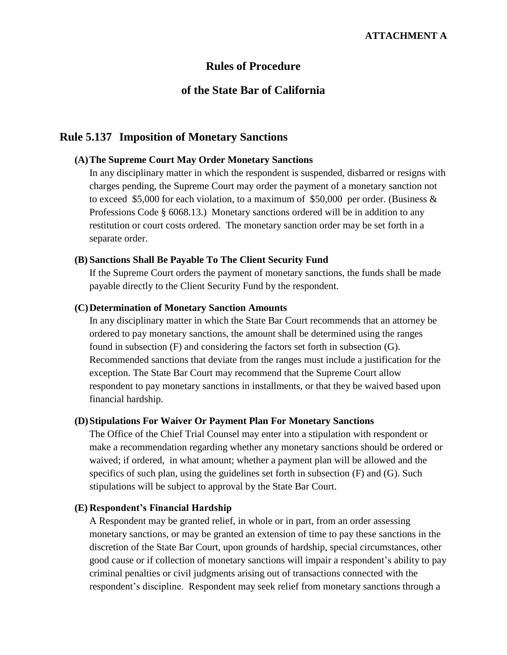### **Rules of Procedure**

# **of the State Bar of California**

# **Rule 5.137 Imposition of Monetary Sanctions**

### **(A)The Supreme Court May Order Monetary Sanctions**

In any disciplinary matter in which the respondent is suspended, disbarred or resigns with charges pending, the Supreme Court may order the payment of a monetary sanction not to exceed \$5,000 for each violation, to a maximum of \$50,000 per order. (Business & Professions Code § 6068.13.) Monetary sanctions ordered will be in addition to any restitution or court costs ordered. The monetary sanction order may be set forth in a separate order.

#### **(B) Sanctions Shall Be Payable To The Client Security Fund**

If the Supreme Court orders the payment of monetary sanctions, the funds shall be made payable directly to the Client Security Fund by the respondent.

### **(C)Determination of Monetary Sanction Amounts**

In any disciplinary matter in which the State Bar Court recommends that an attorney be ordered to pay monetary sanctions, the amount shall be determined using the ranges found in subsection (F) and considering the factors set forth in subsection (G). Recommended sanctions that deviate from the ranges must include a justification for the exception. The State Bar Court may recommend that the Supreme Court allow respondent to pay monetary sanctions in installments, or that they be waived based upon financial hardship.

#### **(D)Stipulations For Waiver Or Payment Plan For Monetary Sanctions**

The Office of the Chief Trial Counsel may enter into a stipulation with respondent or make a recommendation regarding whether any monetary sanctions should be ordered or waived; if ordered, in what amount; whether a payment plan will be allowed and the specifics of such plan, using the guidelines set forth in subsection (F) and (G). Such stipulations will be subject to approval by the State Bar Court.

### **(E) Respondent's Financial Hardship**

A Respondent may be granted relief, in whole or in part, from an order assessing monetary sanctions, or may be granted an extension of time to pay these sanctions in the discretion of the State Bar Court, upon grounds of hardship, special circumstances, other good cause or if collection of monetary sanctions will impair a respondent's ability to pay criminal penalties or civil judgments arising out of transactions connected with the respondent's discipline. Respondent may seek relief from monetary sanctions through a